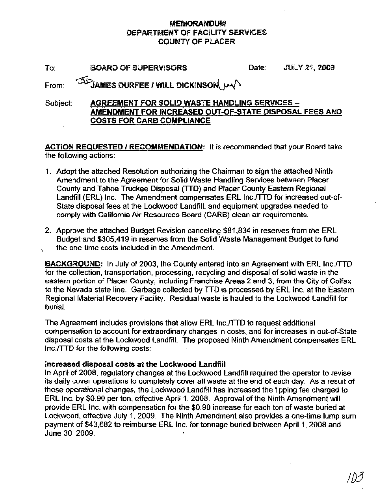# **MEMORANDUM** DEPARTMENT OF FACILITY SERVICES COUNTY OF PLACER

| To:      | <b>BOARD OF SUPERVISORS</b>                                               | Date: | JULY 21, 2009 |
|----------|---------------------------------------------------------------------------|-------|---------------|
|          | From: $\widehat{\mathcal{D}}$ JAMES DURFEE / WILL DICKINSON $\mathcal{M}$ |       |               |
| Subiect: | AGREEMENT FOR SOLID WASTE HANDLING SERVICES -                             |       |               |

## Subject:. AGREEMENT FOR SOLID WASTE HANDLING SERVICES -AMENDMENT FOR INCREASED OUT-CF-STATE DISPOSAL FEES AND COSTS FOR CARS COMPLIANCE

ACTiON REQUESTED I RECOMMENDATiON: It is recommended that your Board take the following actions:

- 1. Adopt the attached Resolution authorizing the Chairman to sign the attached Ninth Amendment to the Agreement for Solid Waste Handling Services between Placer County and Tahoe Truckee Disposal (ITO) and Placer County Eastern Regional Landfill (ERL) Inc. The Amendment compensates ERL Inc./TTD for increased out-of-State disposal fees at the Lockwood landfill, and equipment upgrades needed to comply with California Air Resources Board (CARB) clean air requirements.
- 2. Approve the attached Budget Revision cancelling \$81,834 in reserves from the ERL Budget and \$305,419 in reserves from the Solid Waste Management Budget to fund the one-time costs included in the Amendment.

BACKGROUND: In July of 2003, the County entered into an Agreement with ERL Inc./TTD for the collection, transportation, processing, recycling and disposal of solid waste in the eastern portion of Placer County, including Franchise Areas 2 and 3, from the City of Colfax to the Nevada state line. Garbage collected by TTD is processed by ERL Inc. at the Eastern Regional Material Recovery Facility. Residual waste is hauled to the Lockwood Landfill for burial.

The Agreement includes provisions that allow ERL Inc./TTD to request additional compensation to account for extraordinary changes in costs, and for increases in out-of-State disposal costs at the Lockwood Landfill. The proposed Ninth Amendment compensates ERL Inc.fTTD for the following costs:

## Increased disposal costs at the lockwood landfill

In April of 2008, regulatory changes at the Lockwood Landfill required the operator to revise its daily cover operations to completely cover all waste at the end of each day. As a result of these operational changes, the lockwood Landfill has increased the tipping fee charged to ERL Inc. by \$0.90 per ton, effective April 1, 2008. Approval of the Ninth Amendment will provide ERL Inc. with compensation for the \$0.90 increase for each ton of waste buried at Lockwood, effective July 1, 2009. The Ninth Amendment also provides a one-time lump sum payment of \$43,682 to reimburse ERL Inc. for tonnage buried between April 1, 2008 and June 30, 2009.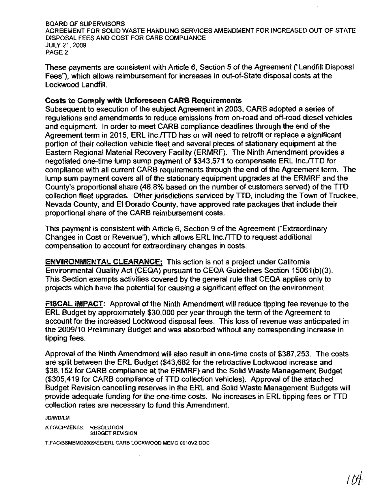BOARD OF SUPERVISORS AGREEMENT FOR SOLID WASTE HANDLING SERVICES AMENDMENT FOR INCREASED OUT-OF-STATE DISPOSAL FEES AND COST FOR CARB COMPLIANCE JULY 21, 2009 PAGE 2

These payments are consistent with Article 6, Section 5 of the Agreement ("Landfill Disposal Fees"), which allows reimbursement for increases in out-of-State disposal costs at the lockwood landfill.

### Costs to Comply with Unforeseen CARB Requirements

Subsequent to execution of the subject Agreement in 2003, CARB adopted a series of regulations and amendments to reduce emissions from on-road and off-road diesel vehicles and equipment. In order to meet CARB compliance deadlines through the end of the Agreement term in 2015, ERL Inc.fTTO has or will need to retrofit or replace a significant portion of their collection vehicle fleet and several pieces of stationary equipment at the Eastern Regional Material Recovery Facility (ERMRF). The Ninth Amendment provides a negotiated one-time lump sump payment of \$343,571 to compensate ERL Inc./TTD for compliance with all current CARB requirements through the end of the Agreement term. The lump sum payment covers all of the stationary equipment upgrades at the ERMRF and the County's proportional share (48.8% based on the number of customers served) of the TID collection fleet upgrades. Other jurisdictions serviced by TID, including the Town of Truckee, Nevada County, and EI Dorado County, have approved rate packages that include their , proportional share of the CARB reimbursement costs.

This payment is consistent with Article 6, Section 9 of the Agreement ("Extraordinary Changes in Cost or Revenue"), which allows ERL Inc./TTD to request additional compensation to account for extraordinary changes in costs.

**ENVIRONMENTAL CLEARANCE:** This action is not a project under California Environmental Quality Act (CEQA) pursuant to CEQA Guidelines Section 15061(b)(3). This Section exempts activities covered by the general rule that CEQA applies only to projects which have the potential for causing a significant effect on the environment.

FISCAL IMPACT: Approval of the Ninth Amendment will reduce tipping fee revenue to the ERL Budget by approximately \$30,000 per year through the term of the Agreement to account for the increased lockwood disposal fees. This loss of revenue was anticipated in the 2009/10 Preliminary Budget and was absorbed without any corresponding increase in tipping fees.

Approval of the Ninth Amendment will also result in one-time costs of \$387,253. The costs are split between the ERL Budget (\$43,682 for the retroactive Lockwood increase and \$38,152 for CARB compliance at the ERMRF) and the Solid Waste Management Budget (\$305,419 for CARB compliance of ITO collection vehicles). Approval of the attached Budget Revision cancelling reserves in the ERL and Solid Waste Management Budgets will provide adequate funding for the one-time costs. No increases in ERL tipping fees or TID collection rates are necessary to fund this Amendment.

JDIWD/LM

ATfACHMENTS: RESOLUTION BUDGET REVISION

T:FAC/BSMEM02009/EEJERL CARB LOCKWOOD MEMO 0910V2.DOC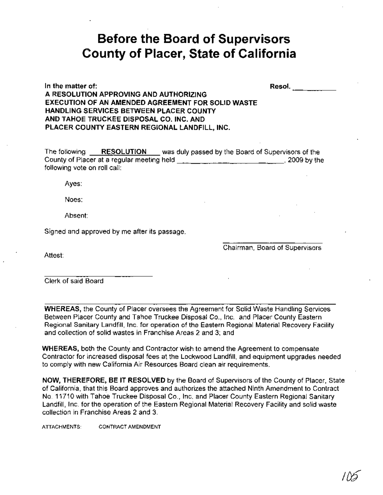# **Before the Board of Supervisors County of Placer, State of California**

#### **In the matter of: A RESOLUTION APPROVING AND AUTHORIZING EXECUTION OF AN AMENDED AGREEMENT** FOR SOLID **WASTE HANDLING SERVICES BETWEEN PLACER COUNTY AND TAHOE TRUCKEE DISPOSAL CO. INC. AND PLACER COUNTY EASTERN REGIONAL LANDFILL, INC.**

The following **RESOLUTION** was duly passed by the Board of Supervisors of the County of Placer at a regular meeting held \_\_\_\_\_\_\_\_\_\_\_\_\_\_\_\_\_\_\_\_\_\_\_\_\_\_\_\_\_\_\_\_\_, 2009 by the following vote on roll call:

Ayes:

Noes:

Absent:

Signed and approved by me after its passage.

Chairman, Board of Supervisors

**Resol.**-----

Attest:

Clerk of said Board

**WHEREAS,** the County of Placer oversees the Agreement for Solid Waste Handling Services Between Placer County and Tahoe Truckee Disposal Co., Inc. and Placer County Eastern Regional Sanitary Landfill, Inc. for operation of the Eastern Regional Material Recovery Facility and collection of solid wastes in Franchise Areas 2 and 3; and

**WHEREAS,** both the County and Contractor wish to amend the Agreement to compensate Contractor for increased disposal fees at the Lockwood Landfill, and equipment upgrades needed to comply with new California Air Resources Board clean air requirements.

**NOW, THEREFORE, BE IT RESOLVED** by the Board of Supervisors of the County of Placer, State of California, that this Board approves and authorizes the attached Ninth Amendment to Contract No. 11710 with Tahoe Truckee Disposal Co., Inc. and Placer County Eastern Regional Sanitary Landfill, Inc. for the operation of the Eastern Regional Material Recovery Facility and solid waste collection in Franchise Areas 2 and 3.

ATTACHMENTS: CONTRACT AMENDMENT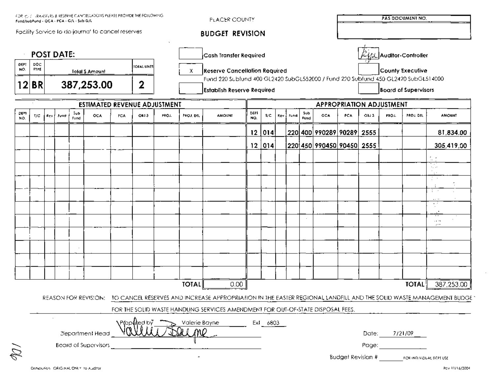| FOR ICLIC LRANSFLRS & RESERVE CANCELLATIONS PLEASE PROVIDE THE FOLLOWING<br>Fund/subFund - OCA - PCA - G/L - Sub G/L |                     |                            |      |                    |                                                   |     |                        |       | PLACER COUNTY                             |                                                                                                                                          |                        | PAS DOCUMENT NO. |                                                                                                                  |       |                                 |                           |                   |       |                  |                         |                              |  |  |
|----------------------------------------------------------------------------------------------------------------------|---------------------|----------------------------|------|--------------------|---------------------------------------------------|-----|------------------------|-------|-------------------------------------------|------------------------------------------------------------------------------------------------------------------------------------------|------------------------|------------------|------------------------------------------------------------------------------------------------------------------|-------|---------------------------------|---------------------------|-------------------|-------|------------------|-------------------------|------------------------------|--|--|
|                                                                                                                      |                     |                            |      |                    | Facility Service to do journal to cancel reserves |     |                        |       |                                           | <b>BUDGET REVISION</b>                                                                                                                   |                        |                  |                                                                                                                  |       |                                 |                           |                   |       |                  |                         |                              |  |  |
| <b>POST DATE:</b>                                                                                                    |                     |                            |      |                    |                                                   |     | Cash Transfer Required |       |                                           |                                                                                                                                          | 4/2 Auditor-Controller |                  |                                                                                                                  |       |                                 |                           |                   |       |                  |                         |                              |  |  |
| DEPT<br>NO.                                                                                                          | DOC.<br><b>TYPE</b> |                            |      |                    | Tolal \$ Amount                                   |     | <b>TOTAL UNES</b>      |       | <b>Reserve Cancellation Required</b><br>х |                                                                                                                                          |                        |                  |                                                                                                                  |       |                                 |                           |                   |       | County Executive |                         |                              |  |  |
|                                                                                                                      | 12 BR               | $\mathbf{2}$<br>387,253.00 |      |                    |                                                   |     |                        |       |                                           | <b>Establish Reserve Required</b>                                                                                                        |                        |                  | Fund 220 Subfund 400 GL2420 SubGL552000 / Fund 220 Subfund 450 GL2420 SubGL514000<br><b>Board of Supervisors</b> |       |                                 |                           |                   |       |                  |                         |                              |  |  |
| ESTIMATED REVENUE ADJUSTMENT                                                                                         |                     |                            |      |                    |                                                   |     |                        |       |                                           |                                                                                                                                          |                        |                  |                                                                                                                  |       | <b>APPROPRIATION ADJUSTMENT</b> |                           |                   |       |                  |                         |                              |  |  |
| DEM<br>NO.                                                                                                           | T/C                 | Rev (                      | Funo | <b>Jub</b><br>Fund | OCA                                               | PCA | QBJ 3                  | PROJ. | PROJ. DIU                                 | <b>AMOUNT</b>                                                                                                                            | DEPT<br>NO.            | 1/C              | Rev                                                                                                              | Fundi | Sub<br>Fund                     | <b>OCA</b>                | PCA.              | OBJ 3 | FROJ.            | PROJ. DTL               | <b>AMOUNT</b>                |  |  |
|                                                                                                                      |                     |                            |      |                    |                                                   |     |                        |       |                                           |                                                                                                                                          | 12                     | 014              |                                                                                                                  |       |                                 | 220 400 990289 90289 2555 |                   |       |                  |                         | 81,834.00                    |  |  |
|                                                                                                                      |                     |                            |      |                    |                                                   |     |                        |       |                                           |                                                                                                                                          |                        | 12 014           |                                                                                                                  |       |                                 | 220 450 990450 90450 2555 |                   |       |                  |                         | 305,419.00                   |  |  |
|                                                                                                                      |                     |                            |      |                    |                                                   |     |                        |       |                                           |                                                                                                                                          |                        |                  |                                                                                                                  |       |                                 |                           |                   |       |                  |                         | ti d                         |  |  |
|                                                                                                                      |                     |                            |      |                    |                                                   |     |                        |       |                                           |                                                                                                                                          |                        |                  |                                                                                                                  |       |                                 |                           |                   |       |                  |                         | $\epsilon_{\rm{max}}$<br>Λýν |  |  |
|                                                                                                                      |                     |                            |      |                    |                                                   |     |                        |       |                                           |                                                                                                                                          |                        |                  |                                                                                                                  |       |                                 |                           |                   |       |                  |                         | D.<br>$\ddot{\phantom{a}}$   |  |  |
|                                                                                                                      |                     |                            |      |                    |                                                   |     |                        |       |                                           |                                                                                                                                          |                        |                  |                                                                                                                  |       |                                 |                           |                   |       |                  |                         | i -                          |  |  |
|                                                                                                                      |                     |                            |      |                    |                                                   |     |                        |       |                                           |                                                                                                                                          |                        |                  |                                                                                                                  |       |                                 |                           |                   |       |                  |                         | $\ddotsc$                    |  |  |
|                                                                                                                      |                     |                            |      |                    |                                                   |     |                        |       |                                           |                                                                                                                                          |                        |                  |                                                                                                                  |       |                                 |                           |                   |       |                  |                         | $\sim$ $\sim$<br>$\cdots$    |  |  |
|                                                                                                                      |                     |                            |      |                    |                                                   |     |                        |       |                                           |                                                                                                                                          |                        |                  |                                                                                                                  |       |                                 |                           |                   |       |                  |                         |                              |  |  |
|                                                                                                                      |                     |                            |      |                    |                                                   |     |                        |       |                                           |                                                                                                                                          |                        |                  |                                                                                                                  |       |                                 |                           |                   |       |                  |                         |                              |  |  |
|                                                                                                                      |                     |                            |      |                    |                                                   |     |                        |       |                                           |                                                                                                                                          |                        |                  |                                                                                                                  |       |                                 |                           |                   |       |                  |                         |                              |  |  |
|                                                                                                                      |                     |                            |      |                    |                                                   |     |                        |       |                                           |                                                                                                                                          |                        |                  |                                                                                                                  |       |                                 |                           |                   |       |                  |                         |                              |  |  |
|                                                                                                                      |                     |                            |      |                    |                                                   |     |                        |       | <b>TOTAL</b>                              | 0.00                                                                                                                                     |                        |                  |                                                                                                                  |       |                                 |                           |                   |       |                  | <b>TOTAL!</b>           | 387,253.00                   |  |  |
|                                                                                                                      |                     |                            |      |                    |                                                   |     |                        |       |                                           | REASON FOR REVISION: TO CANCEL RESERVES AND INCREASE APPROPRIATION IN THE EASTER REGIONAL LANDFILL AND THE SOLID WASTE MANAGEMENT BUDGE. |                        |                  |                                                                                                                  |       |                                 |                           |                   |       |                  |                         |                              |  |  |
|                                                                                                                      |                     |                            |      |                    |                                                   |     |                        |       |                                           | FOR THE SOLID WASTE HANDLING SERVICES AMENDMENT FOR OUT-OF-STATE DISPOSAL FEES.                                                          |                        |                  |                                                                                                                  |       |                                 |                           |                   |       |                  |                         |                              |  |  |
|                                                                                                                      |                     |                            |      |                    | <b><i><u>3epartment</u></i></b> Head              |     | Prepated by            |       | Valerie Bayne<br>MO                       |                                                                                                                                          |                        | Exl 6803         |                                                                                                                  |       |                                 |                           |                   | Date: |                  | 7/21/09                 |                              |  |  |
|                                                                                                                      |                     |                            |      |                    | <b>Board of Supervisors</b>                       |     |                        |       |                                           |                                                                                                                                          |                        |                  |                                                                                                                  |       |                                 |                           |                   | Page: |                  |                         |                              |  |  |
| ÞÞ                                                                                                                   |                     |                            |      |                    |                                                   |     |                        |       |                                           |                                                                                                                                          |                        |                  |                                                                                                                  |       |                                 |                           | Budget Revision # |       |                  | FOR INDIVIDUAL DEPT USE |                              |  |  |
|                                                                                                                      |                     |                            |      |                    | Distinguifier - GRIG-NAL ONLY -to Auditor         |     |                        |       |                                           |                                                                                                                                          |                        |                  |                                                                                                                  |       |                                 |                           |                   |       |                  |                         | Rev 11/16/2004               |  |  |

 $\sim$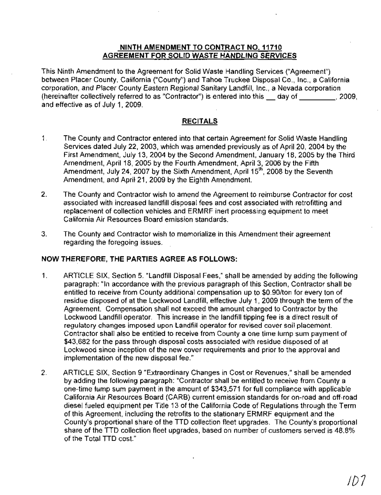## **NINTH AMENDMENT TO CONTRACT NO. 11710 AGREEMENT FOR SOLID WASTE HANDLING SERVICES**

This Ninth Amendment to the Agreement for Solid Waste Handling Services ("Agreement") between Placer County, California ("County") and Tahoe Truckee Disposal Co., Inc., a California corporation, and Placer County Eastern Regional Sanitary Landfill, Inc., a Nevada corporation (hereinafter collectively referred to as "Contractor") is entered into this \_ day of , 2009, and effective as of July 1, 2009.

## **RECITALS**

- 1. The County and Contractor entered into that certain Agreement for Solid Waste Handling Services dated July 22, 2003, which was amended previously as of April 20, 2004 by the First Amendment, July 13, 2004 by the Second Amendment, January 18, 2005 by the Third Amendment, April 18, 2005 by the Fourth Amendment, April 3, 2006 by the Fifth Amendment, July 24, 2007 by the Sixth Amendment, April 15<sup>th</sup>, 2008 by the Seventh Amendment, and April 21, 2009 by the Eighth Amendment.
- 2. The County and Contractor wish to amend the Agreement to reimburse Contractor for cost associated with increased landfill disposal fees and cost associated with retrofitting and replacement of collection vehicles and ERMRF inert processing equipment to meet California Air Resources Board emission standards.
- 3. The County and Contractor wish to memorialize in this Amendment their agreement regarding the foregoing issues. .

## **NOW THEREFORE, THE PARTIES AGREE AS FOLLOWS:**

- 1. ARTICLE SIX, Section 5. "Landfill Disposal Fees," shall be amended by adding the following paragraph: "In accordance with the previous paragraph of this Section, Contractor shall be entitled to receive from County additional compensation up to \$0.90/ton for every ton of residue disposed of at the Lockwood Landfill, effective July 1, 2009 through the term of the Agreement. Compensation shall not exceed the amount charged to Contractor by the Lockwood Landfill operator. This increase in the landfill tipping fee is a direct result of regulatory changes imposed upon Landfill operator for revised cover soil placement. Contractor shall also be entitled to receive from County a one time lump sum payment of \$43,682 for the pass through disposal costs associated with residue disposed of at Lockwood since inception of the new cover requirements and prior to the approval and implementation of the new disposal fee."
- 2. . ARTICLE SIX, Section 9 "Extraordinary Changes in Cost or Revenues," shall be amended by adding the following paragraph: "Contractor shall be entitled to receive from County a one-time lump sum payment in the amount of \$343,571 for full compliance with applicable California Air Resources Board (CARB) current emission standards for on-road and off-road diesel fueled equipment per Title 13 of the California Code of Regulations through the Term of this Agreement, including the retrofits to the stationary ERMRF equipment and the County's proportional share of the TTD collection fleet upgrades. The County's proportional share of the TTD collection fleet upgrades, based on number of customers served is 48.8% of the Total TID cost."